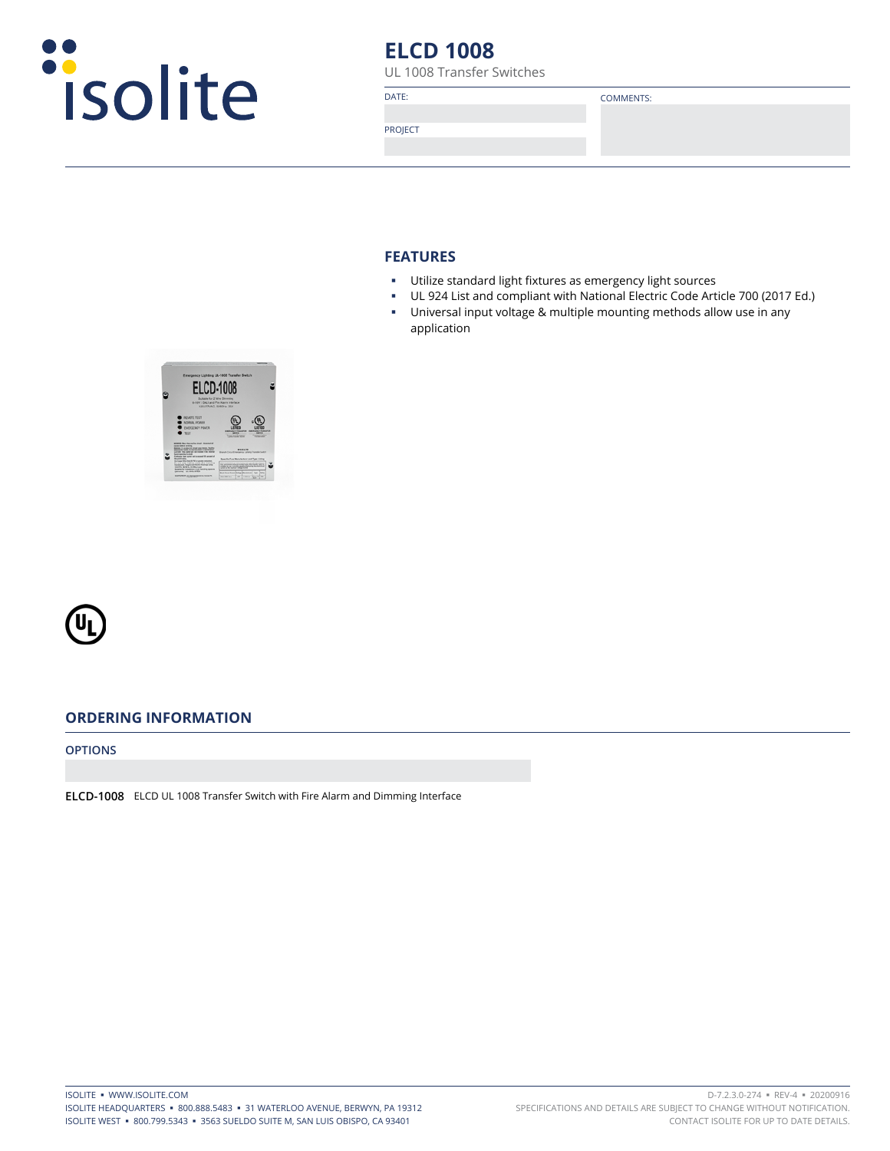

# **ELCD 1008**

UL 1008 Transfer Switches

DATE: COMMENTS:

PROJECT

#### **FEATURES**

- Utilize standard light fixtures as emergency light sources
- UL 924 List and compliant with National Electric Code Article 700 (2017 Ed.)
- Universal input voltage & multiple mounting methods allow use in any application





# **ORDERING INFORMATION**

**OPTIONS**

**ELCD-1008** ELCD UL 1008 Transfer Switch with Fire Alarm and Dimming Interface